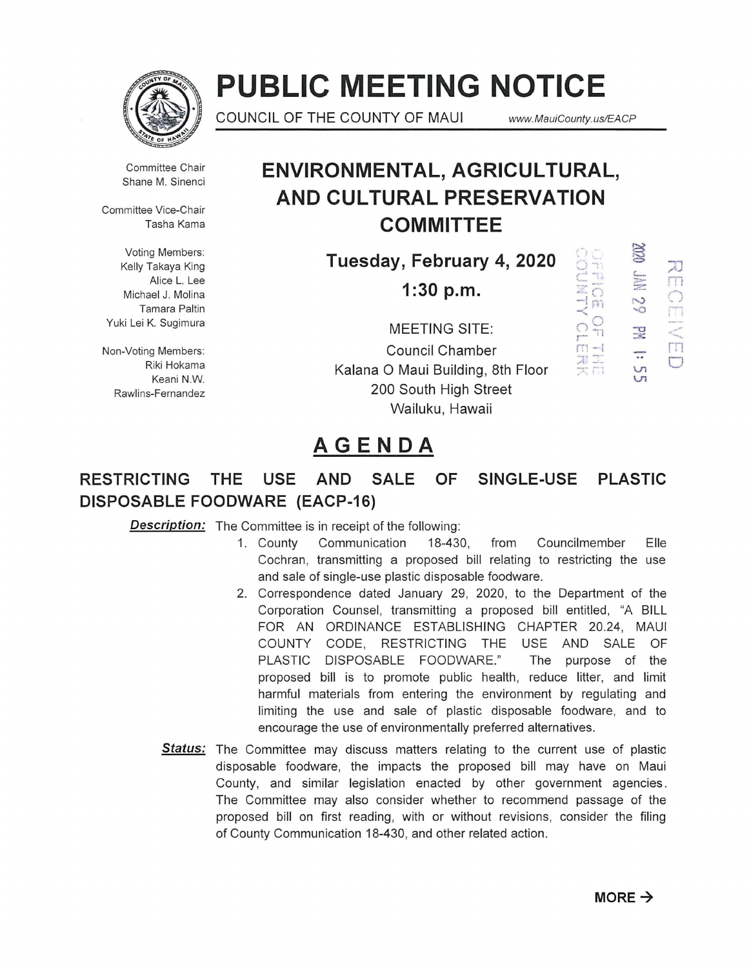

# **PUBLIC MEETING NOTICE**

COUNCIL OF THE COUNTY OF MAUI www.MauiCounty.us/EACP

 $\times$  m

 $\overline{\overline{O}}$  $57$  $\frac{Q}{T}$   $\mathbb{S}$ **Sec. 20** L... **The Second** \*\*\*\*\*\*  $\mathbb{S}^2$ -o :l!: -..  $\overline{u}$ VI

*;a*  m

 $\bigcap_{i=1}^n$ 

 $\overline{T}$ **C** 

Committee Chair Shane M. Sinenci

Committee Vice-Chair Tasha Kama

Voting Members: Kelly Takaya King Alice L. Lee Michael J. Molina Tamara Paltin Yuki Lei K. Sugimura

Non-Voting Members: Riki Hokama Keani N.W. Rawlins-Fernandez

### **ENVIRONMENTAL, AGRICULTURAL, AND CULTURAL PRESERVATION COMMITTEE**

**Tuesday, February 4, 2020** 

**1:30 p.m.** 

MEETING SITE: Council Chamber Kalana 0 Maui Building, 8th Floor 200 South High Street Wailuku, Hawaii

## **AGENDA**

### **RESTRICTING THE USE AND SALE OF SINGLE-USE PLASTIC DISPOSABLE FOODWARE (EACP-16)**

**Description:** The Committee is in receipt of the following:

- 1. County Communication 18-430, from Councilmember Elle Cochran, transmitting a proposed bill relating to restricting the use and sale of single-use plastic disposable foodware.
- 2. Correspondence dated January 29, 2020, to the Department of the Corporation Counsel, transmitting a proposed bill entitled, "A BILL FOR AN ORDINANCE ESTABLISHING CHAPTER 20.24, MAUl COUNTY CODE, RESTRICTING THE USE AND SALE OF PLASTIC DISPOSABLE FOODWARE." The purpose of the proposed bill is to promote public health, reduce litter, and limit harmful materials from entering the environment by regulating and limiting the use and sale of plastic disposable foodware, and to encourage the use of environmentally preferred alternatives.
- **Status:** The Committee may discuss matters relating to the current use of plastic disposable foodware, the impacts the proposed bill may have on Maui County, and similar legislation enacted by other government agencies . The Committee may also consider whether to recommend passage of the proposed bill on first reading, with or without revisions, consider the filing of County Communication 18-430, and other related action.